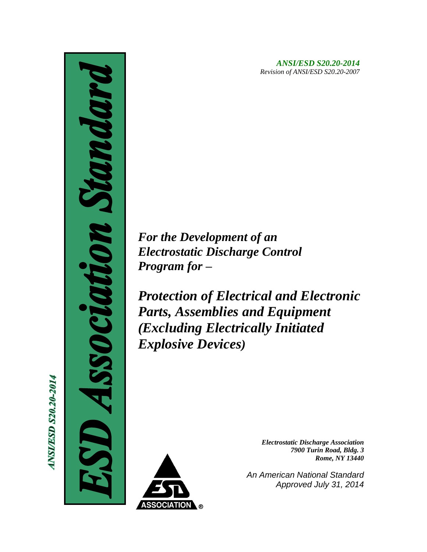*ANSI/ESD S20.20-2014 Revision of ANSI/ESD S20.20-2007*

*For the Development of an Electrostatic Discharge Control Program for –*

*Protection of Electrical and Electronic Parts, Assemblies and Equipment (Excluding Electrically Initiated Explosive Devices)*



*Electrostatic Discharge Association 7900 Turin Road, Bldg. 3 Rome, NY 13440*

*An American National Standard Approved July 31, 2014*

**ANSI/ESD S20.20-2014** 

CI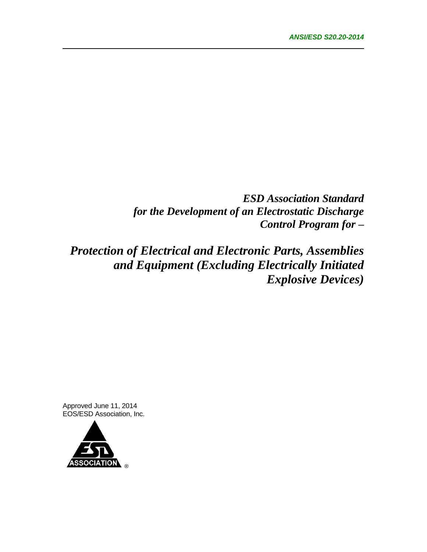*ESD Association Standard for the Development of an Electrostatic Discharge Control Program for –*

*Protection of Electrical and Electronic Parts, Assemblies and Equipment (Excluding Electrically Initiated Explosive Devices)*

Approved June 11, 2014 EOS/ESD Association, Inc.

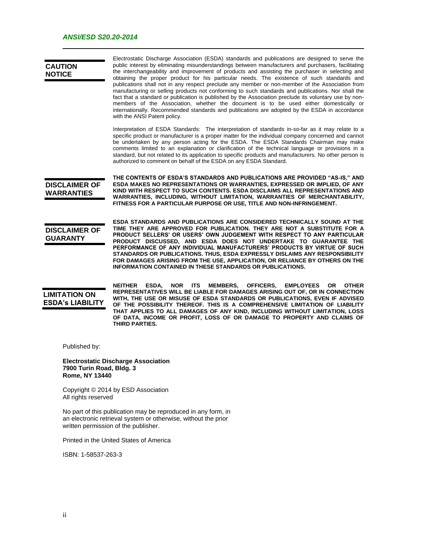| <b>CAUTION</b><br><b>NOTICE</b>                   | Electrostatic Discharge Association (ESDA) standards and publications are designed to serve the<br>public interest by eliminating misunderstandings between manufacturers and purchasers, facilitating<br>the interchangeability and improvement of products and assisting the purchaser in selecting and<br>obtaining the proper product for his particular needs. The existence of such standards and<br>publications shall not in any respect preclude any member or non-member of the Association from<br>manufacturing or selling products not conforming to such standards and publications. Nor shall the<br>fact that a standard or publication is published by the Association preclude its voluntary use by non-<br>members of the Association, whether the document is to be used either domestically or<br>internationally. Recommended standards and publications are adopted by the ESDA in accordance<br>with the ANSI Patent policy. |  |  |
|---------------------------------------------------|------------------------------------------------------------------------------------------------------------------------------------------------------------------------------------------------------------------------------------------------------------------------------------------------------------------------------------------------------------------------------------------------------------------------------------------------------------------------------------------------------------------------------------------------------------------------------------------------------------------------------------------------------------------------------------------------------------------------------------------------------------------------------------------------------------------------------------------------------------------------------------------------------------------------------------------------------|--|--|
|                                                   | Interpretation of ESDA Standards: The interpretation of standards in-so-far as it may relate to a<br>specific product or manufacturer is a proper matter for the individual company concerned and cannot<br>be undertaken by any person acting for the ESDA. The ESDA Standards Chairman may make<br>comments limited to an explanation or clarification of the technical language or provisions in a<br>standard, but not related to its application to specific products and manufacturers. No other person is<br>authorized to comment on behalf of the ESDA on any ESDA Standard.                                                                                                                                                                                                                                                                                                                                                                |  |  |
| <b>DISCLAIMER OF</b><br><b>WARRANTIES</b>         | THE CONTENTS OF ESDA'S STANDARDS AND PUBLICATIONS ARE PROVIDED "AS-IS," AND<br>ESDA MAKES NO REPRESENTATIONS OR WARRANTIES, EXPRESSED OR IMPLIED, OF ANY<br>KIND WITH RESPECT TO SUCH CONTENTS. ESDA DISCLAIMS ALL REPRESENTATIONS AND<br>WARRANTIES, INCLUDING, WITHOUT LIMITATION, WARRANTIES OF MERCHANTABILITY,<br>FITNESS FOR A PARTICULAR PURPOSE OR USE, TITLE AND NON-INFRINGEMENT.                                                                                                                                                                                                                                                                                                                                                                                                                                                                                                                                                          |  |  |
| <b>DISCLAIMER OF</b><br><b>GUARANTY</b>           | ESDA STANDARDS AND PUBLICATIONS ARE CONSIDERED TECHNICALLY SOUND AT THE<br>TIME THEY ARE APPROVED FOR PUBLICATION. THEY ARE NOT A SUBSTITUTE FOR A<br>PRODUCT SELLERS' OR USERS' OWN JUDGEMENT WITH RESPECT TO ANY PARTICULAR<br>PRODUCT DISCUSSED, AND ESDA DOES NOT UNDERTAKE TO GUARANTEE THE<br>PERFORMANCE OF ANY INDIVIDUAL MANUFACTURERS' PRODUCTS BY VIRTUE OF SUCH<br>STANDARDS OR PUBLICATIONS. THUS, ESDA EXPRESSLY DISLAIMS ANY RESPONSIBILITY<br>FOR DAMAGES ARISING FROM THE USE, APPLICATION, OR RELIANCE BY OTHERS ON THE<br><b>INFORMATION CONTAINED IN THESE STANDARDS OR PUBLICATIONS.</b>                                                                                                                                                                                                                                                                                                                                        |  |  |
| <b>LIMITATION ON</b><br><b>ESDA's LIABILITY</b>   | <b>NEITHER</b><br>ESDA,<br><b>NOR</b><br><b>ITS</b><br><b>MEMBERS.</b><br>OFFICERS,<br><b>EMPLOYEES</b><br>OR.<br><b>OTHER</b><br>REPRESENTATIVES WILL BE LIABLE FOR DAMAGES ARISING OUT OF, OR IN CONNECTION<br>WITH, THE USE OR MISUSE OF ESDA STANDARDS OR PUBLICATIONS, EVEN IF ADVISED<br>OF THE POSSIBILITY THEREOF. THIS IS A COMPREHENSIVE LIMITATION OF LIABILITY<br>THAT APPLIES TO ALL DAMAGES OF ANY KIND, INCLUDING WITHOUT LIMITATION, LOSS<br>OF DATA, INCOME OR PROFIT, LOSS OF OR DAMAGE TO PROPERTY AND CLAIMS OF<br>THIRD PARTIES.                                                                                                                                                                                                                                                                                                                                                                                                |  |  |
| Published by:                                     |                                                                                                                                                                                                                                                                                                                                                                                                                                                                                                                                                                                                                                                                                                                                                                                                                                                                                                                                                      |  |  |
| 7900 Turin Road, Bldg. 3<br><b>Rome, NY 13440</b> | <b>Electrostatic Discharge Association</b>                                                                                                                                                                                                                                                                                                                                                                                                                                                                                                                                                                                                                                                                                                                                                                                                                                                                                                           |  |  |
|                                                   | Copyright © 2014 by ESD Association<br>All rights reserved                                                                                                                                                                                                                                                                                                                                                                                                                                                                                                                                                                                                                                                                                                                                                                                                                                                                                           |  |  |
|                                                   | No part of this publication may be reproduced in any form, in<br>an electronic retrieval system or otherwise, without the prior<br>written permission of the publisher.                                                                                                                                                                                                                                                                                                                                                                                                                                                                                                                                                                                                                                                                                                                                                                              |  |  |
|                                                   | Printed in the United States of America                                                                                                                                                                                                                                                                                                                                                                                                                                                                                                                                                                                                                                                                                                                                                                                                                                                                                                              |  |  |

ISBN: 1-58537-263-3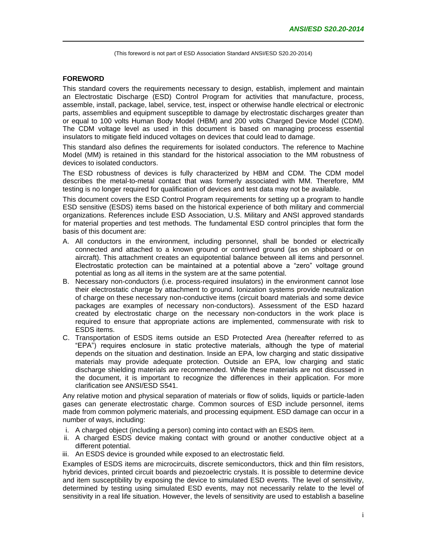#### **FOREWORD**

This standard covers the requirements necessary to design, establish, implement and maintain an Electrostatic Discharge (ESD) Control Program for activities that manufacture, process, assemble, install, package, label, service, test, inspect or otherwise handle electrical or electronic parts, assemblies and equipment susceptible to damage by electrostatic discharges greater than or equal to 100 volts Human Body Model (HBM) and 200 volts Charged Device Model (CDM). The CDM voltage level as used in this document is based on managing process essential insulators to mitigate field induced voltages on devices that could lead to damage.

This standard also defines the requirements for isolated conductors. The reference to Machine Model (MM) is retained in this standard for the historical association to the MM robustness of devices to isolated conductors.

The ESD robustness of devices is fully characterized by HBM and CDM. The CDM model describes the metal-to-metal contact that was formerly associated with MM. Therefore, MM testing is no longer required for qualification of devices and test data may not be available.

This document covers the ESD Control Program requirements for setting up a program to handle ESD sensitive (ESDS) items based on the historical experience of both military and commercial organizations. References include ESD Association, U.S. Military and ANSI approved standards for material properties and test methods. The fundamental ESD control principles that form the basis of this document are:

- A. All conductors in the environment, including personnel, shall be bonded or electrically connected and attached to a known ground or contrived ground (as on shipboard or on aircraft). This attachment creates an equipotential balance between all items and personnel. Electrostatic protection can be maintained at a potential above a "zero" voltage ground potential as long as all items in the system are at the same potential.
- B. Necessary non-conductors (i.e. process-required insulators) in the environment cannot lose their electrostatic charge by attachment to ground. Ionization systems provide neutralization of charge on these necessary non-conductive items (circuit board materials and some device packages are examples of necessary non-conductors). Assessment of the ESD hazard created by electrostatic charge on the necessary non-conductors in the work place is required to ensure that appropriate actions are implemented, commensurate with risk to ESDS items.
- C. Transportation of ESDS items outside an ESD Protected Area (hereafter referred to as "EPA") requires enclosure in static protective materials, although the type of material depends on the situation and destination. Inside an EPA, low charging and static dissipative materials may provide adequate protection. Outside an EPA, low charging and static discharge shielding materials are recommended. While these materials are not discussed in the document, it is important to recognize the differences in their application. For more clarification see ANSI/ESD S541.

Any relative motion and physical separation of materials or flow of solids, liquids or particle-laden gases can generate electrostatic charge. Common sources of ESD include personnel, items made from common polymeric materials, and processing equipment. ESD damage can occur in a number of ways, including:

- i. A charged object (including a person) coming into contact with an ESDS item.
- ii. A charged ESDS device making contact with ground or another conductive object at a different potential.
- iii. An ESDS device is grounded while exposed to an electrostatic field.

Examples of ESDS items are microcircuits, discrete semiconductors, thick and thin film resistors, hybrid devices, printed circuit boards and piezoelectric crystals. It is possible to determine device and item susceptibility by exposing the device to simulated ESD events. The level of sensitivity, determined by testing using simulated ESD events, may not necessarily relate to the level of sensitivity in a real life situation. However, the levels of sensitivity are used to establish a baseline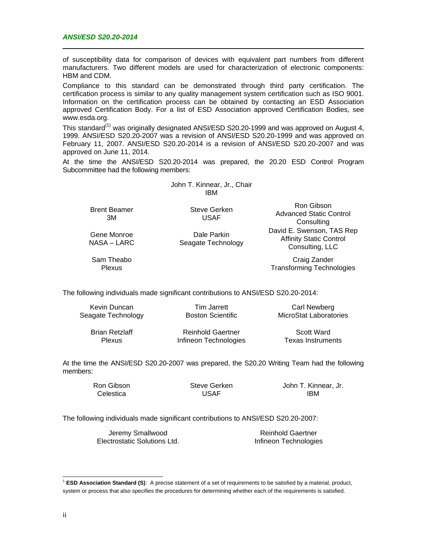of susceptibility data for comparison of devices with equivalent part numbers from different manufacturers. Two different models are used for characterization of electronic components: HBM and CDM.

Compliance to this standard can be demonstrated through third party certification. The certification process is similar to any quality management system certification such as ISO 9001. Information on the certification process can be obtained by contacting an ESD Association approved Certification Body. For a list of ESD Association approved Certification Bodies, see www.esda.org.

This standard<sup>(1)</sup> was originally designated ANSI/ESD S20.20-1999 and was approved on August 4, 1999. ANSI/ESD S20.20-2007 was a revision of ANSI/ESD S20.20-1999 and was approved on February 11, 2007. ANSI/ESD S20.20-2014 is a revision of ANSI/ESD S20.20-2007 and was approved on June 11, 2014.

At the time the ANSI/ESD S20.20-2014 was prepared, the 20.20 ESD Control Program Subcommittee had the following members:

> John T. Kinnear, Jr., Chair IBM

Brent Beamer 3M

Gene Monroe NASA – LARC Steve Gerken USAF

Dale Parkin Seagate Technology

Ron Gibson Advanced Static Control **Consulting** David E. Swenson, TAS Rep Affinity Static Control Consulting, LLC

Sam Theabo Plexus

Craig Zander Transforming Technologies

The following individuals made significant contributions to ANSI/ESD S20.20-2014:

| Kevin Duncan       |
|--------------------|
| Seagate Technology |

Tim Jarrett Boston Scientific

Carl Newberg MicroStat Laboratories

Brian Retzlaff Plexus

Reinhold Gaertner Infineon Technologies

Scott Ward Texas Instruments

At the time the ANSI/ESD S20.20-2007 was prepared, the S20.20 Writing Team had the following members:

> Ron Gibson **Celestica**

Steve Gerken USAF

John T. Kinnear, Jr. IBM

The following individuals made significant contributions to ANSI/ESD S20.20-2007:

Jeremy Smallwood Electrostatic Solutions Ltd.

Reinhold Gaertner Infineon Technologies

l

<sup>&</sup>lt;sup>1</sup> ESD Association Standard (S): A precise statement of a set of requirements to be satisfied by a material, product, system or process that also specifies the procedures for determining whether each of the requirements is satisfied.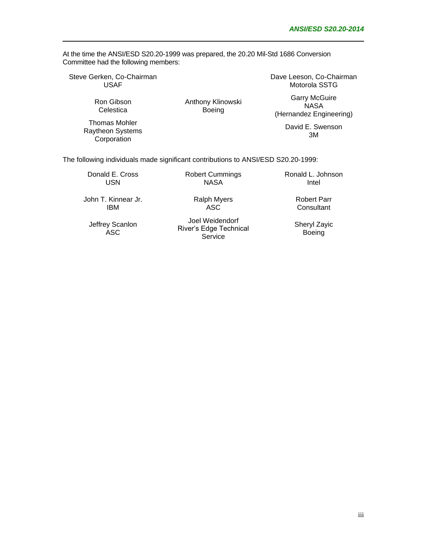At the time the ANSI/ESD S20.20-1999 was prepared, the 20.20 Mil-Std 1686 Conversion Committee had the following members:

Steve Gerken, Co-Chairman USAF

> Ron Gibson **Celestica**

Thomas Mohler Raytheon Systems **Corporation** 

Anthony Klinowski Boeing

Dave Leeson, Co-Chairman Motorola SSTG

Garry McGuire **NASA** (Hernandez Engineering)

David E. Swenson 3M

The following individuals made significant contributions to ANSI/ESD S20.20-1999:

Donald E. Cross USN

Robert Cummings NASA

> Ralph Myers ASC

Ronald L. Johnson Intel

John T. Kinnear Jr. IBM

Jeffrey Scanlon ASC

Joel Weidendorf River's Edge Technical **Service** 

Robert Parr **Consultant** 

Sheryl Zayic **Boeing** 

iii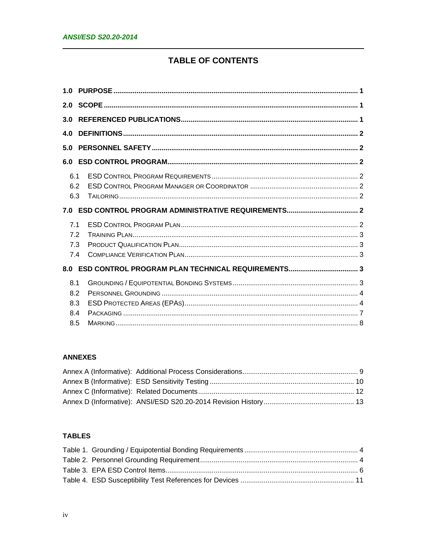# **TABLE OF CONTENTS**

| 3.0 |  |
|-----|--|
| 4.0 |  |
| 5.0 |  |
| 6.0 |  |
| 6.1 |  |
| 6.2 |  |
| 6.3 |  |
|     |  |
| 7.1 |  |
| 7.2 |  |
| 7.3 |  |
| 7.4 |  |
|     |  |
| 8.1 |  |
| 8.2 |  |
| 8.3 |  |
| 8.4 |  |
| 8.5 |  |

# **ANNEXES**

# **TABLES**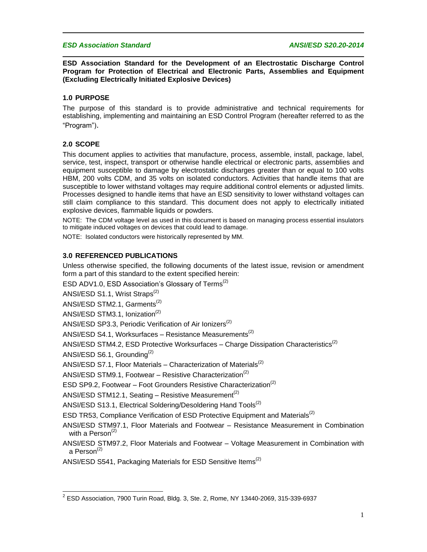#### *ESD Association Standard ANSI/ESD S20.20-2014*

**ESD Association Standard for the Development of an Electrostatic Discharge Control Program for Protection of Electrical and Electronic Parts, Assemblies and Equipment (Excluding Electrically Initiated Explosive Devices)**

#### **1.0 PURPOSE**

The purpose of this standard is to provide administrative and technical requirements for establishing, implementing and maintaining an ESD Control Program (hereafter referred to as the "Program").

#### **2.0 SCOPE**

This document applies to activities that manufacture, process, assemble, install, package, label, service, test, inspect, transport or otherwise handle electrical or electronic parts, assemblies and equipment susceptible to damage by electrostatic discharges greater than or equal to 100 volts HBM, 200 volts CDM, and 35 volts on isolated conductors. Activities that handle items that are susceptible to lower withstand voltages may require additional control elements or adjusted limits. Processes designed to handle items that have an ESD sensitivity to lower withstand voltages can still claim compliance to this standard. This document does not apply to electrically initiated explosive devices, flammable liquids or powders.

NOTE: The CDM voltage level as used in this document is based on managing process essential insulators to mitigate induced voltages on devices that could lead to damage.

NOTE: Isolated conductors were historically represented by MM.

#### **3.0 REFERENCED PUBLICATIONS**

Unless otherwise specified, the following documents of the latest issue, revision or amendment form a part of this standard to the extent specified herein:

ESD ADV1.0, ESD Association's Glossary of Terms<sup>(2)</sup>

ANSI/ESD S1.1, Wrist Straps<sup>(2)</sup>

ANSI/ESD STM2.1, Garments<sup>(2)</sup>

ANSI/ESD STM3.1, Ionization<sup>(2)</sup>

ANSI/ESD SP3.3, Periodic Verification of Air Ionizers<sup>(2)</sup>

ANSI/ESD S4.1, Worksurfaces – Resistance Measurements<sup>(2)</sup>

ANSI/ESD STM4.2, ESD Protective Worksurfaces – Charge Dissipation Characteristics<sup>(2)</sup>

ANSI/ESD S6.1, Grounding<sup>(2)</sup>

ANSI/ESD S7.1, Floor Materials – Characterization of Materials<sup>(2)</sup>

ANSI/ESD STM9.1, Footwear – Resistive Characterization<sup>(2)</sup>

ESD SP9.2, Footwear – Foot Grounders Resistive Characterization<sup>(2)</sup>

ANSI/ESD STM12.1, Seating – Resistive Measurement<sup>(2)</sup>

ANSI/ESD S13.1, Electrical Soldering/Desoldering Hand Tools<sup>(2)</sup>

ESD TR53, Compliance Verification of ESD Protective Equipment and Materials<sup>(2)</sup>

ANSI/ESD STM97.1, Floor Materials and Footwear – Resistance Measurement in Combination with a Person $<sup>(2)</sup>$ </sup>

ANSI/ESD STM97.2, Floor Materials and Footwear – Voltage Measurement in Combination with a Person $(2)$ 

ANSI/ESD S541, Packaging Materials for ESD Sensitive Items<sup>(2)</sup>

l  $^2$  ESD Association, 7900 Turin Road, Bldg. 3, Ste. 2, Rome, NY 13440-2069, 315-339-6937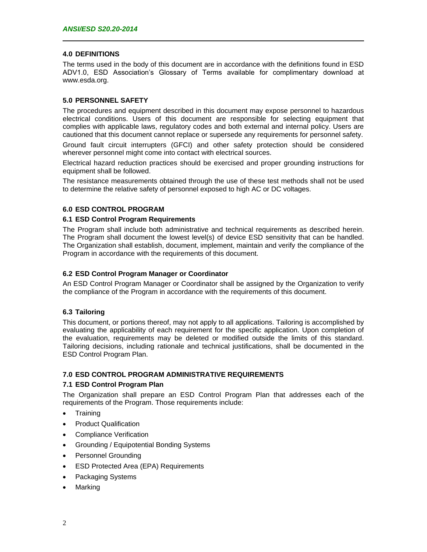#### **4.0 DEFINITIONS**

The terms used in the body of this document are in accordance with the definitions found in ESD ADV1.0, ESD Association's Glossary of Terms available for complimentary download at www.esda.org.

#### **5.0 PERSONNEL SAFETY**

The procedures and equipment described in this document may expose personnel to hazardous electrical conditions. Users of this document are responsible for selecting equipment that complies with applicable laws, regulatory codes and both external and internal policy. Users are cautioned that this document cannot replace or supersede any requirements for personnel safety.

Ground fault circuit interrupters (GFCI) and other safety protection should be considered wherever personnel might come into contact with electrical sources.

Electrical hazard reduction practices should be exercised and proper grounding instructions for equipment shall be followed.

The resistance measurements obtained through the use of these test methods shall not be used to determine the relative safety of personnel exposed to high AC or DC voltages.

# **6.0 ESD CONTROL PROGRAM**

#### **6.1 ESD Control Program Requirements**

The Program shall include both administrative and technical requirements as described herein. The Program shall document the lowest level(s) of device ESD sensitivity that can be handled. The Organization shall establish, document, implement, maintain and verify the compliance of the Program in accordance with the requirements of this document.

#### **6.2 ESD Control Program Manager or Coordinator**

An ESD Control Program Manager or Coordinator shall be assigned by the Organization to verify the compliance of the Program in accordance with the requirements of this document.

#### **6.3 Tailoring**

This document, or portions thereof, may not apply to all applications. Tailoring is accomplished by evaluating the applicability of each requirement for the specific application. Upon completion of the evaluation, requirements may be deleted or modified outside the limits of this standard. Tailoring decisions, including rationale and technical justifications, shall be documented in the ESD Control Program Plan.

#### **7.0 ESD CONTROL PROGRAM ADMINISTRATIVE REQUIREMENTS**

#### **7.1 ESD Control Program Plan**

The Organization shall prepare an ESD Control Program Plan that addresses each of the requirements of the Program. Those requirements include:

- Training
- Product Qualification
- Compliance Verification
- Grounding / Equipotential Bonding Systems
- Personnel Grounding
- ESD Protected Area (EPA) Requirements
- Packaging Systems
- Marking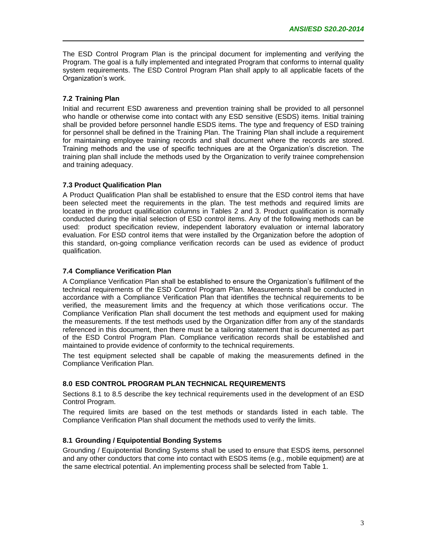The ESD Control Program Plan is the principal document for implementing and verifying the Program. The goal is a fully implemented and integrated Program that conforms to internal quality system requirements. The ESD Control Program Plan shall apply to all applicable facets of the Organization's work.

# **7.2 Training Plan**

Initial and recurrent ESD awareness and prevention training shall be provided to all personnel who handle or otherwise come into contact with any ESD sensitive (ESDS) items. Initial training shall be provided before personnel handle ESDS items. The type and frequency of ESD training for personnel shall be defined in the Training Plan. The Training Plan shall include a requirement for maintaining employee training records and shall document where the records are stored. Training methods and the use of specific techniques are at the Organization's discretion. The training plan shall include the methods used by the Organization to verify trainee comprehension and training adequacy.

#### **7.3 Product Qualification Plan**

A Product Qualification Plan shall be established to ensure that the ESD control items that have been selected meet the requirements in the plan. The test methods and required limits are located in the product qualification columns in Tables 2 and 3. Product qualification is normally conducted during the initial selection of ESD control items. Any of the following methods can be used: product specification review, independent laboratory evaluation or internal laboratory evaluation. For ESD control items that were installed by the Organization before the adoption of this standard, on-going compliance verification records can be used as evidence of product qualification.

#### **7.4 Compliance Verification Plan**

A Compliance Verification Plan shall be established to ensure the Organization's fulfillment of the technical requirements of the ESD Control Program Plan. Measurements shall be conducted in accordance with a Compliance Verification Plan that identifies the technical requirements to be verified, the measurement limits and the frequency at which those verifications occur. The Compliance Verification Plan shall document the test methods and equipment used for making the measurements. If the test methods used by the Organization differ from any of the standards referenced in this document, then there must be a tailoring statement that is documented as part of the ESD Control Program Plan. Compliance verification records shall be established and maintained to provide evidence of conformity to the technical requirements.

The test equipment selected shall be capable of making the measurements defined in the Compliance Verification Plan.

# **8.0 ESD CONTROL PROGRAM PLAN TECHNICAL REQUIREMENTS**

Sections 8.1 to 8.5 describe the key technical requirements used in the development of an ESD Control Program.

The required limits are based on the test methods or standards listed in each table. The Compliance Verification Plan shall document the methods used to verify the limits.

#### **8.1 Grounding / Equipotential Bonding Systems**

Grounding / Equipotential Bonding Systems shall be used to ensure that ESDS items, personnel and any other conductors that come into contact with ESDS items (e.g., mobile equipment) are at the same electrical potential. An implementing process shall be selected from Table 1.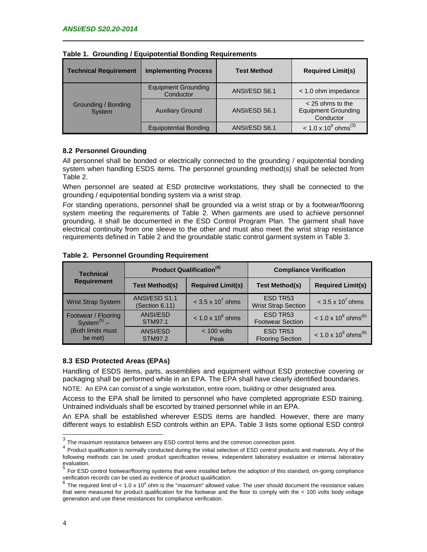| <b>Technical Requirement</b>  | <b>Implementing Process</b>             | <b>Test Method</b> | <b>Required Limit(s)</b>                                      |  |
|-------------------------------|-----------------------------------------|--------------------|---------------------------------------------------------------|--|
| Grounding / Bonding<br>System | <b>Equipment Grounding</b><br>Conductor | ANSI/ESD S6.1      | $<$ 1.0 ohm impedance                                         |  |
|                               | <b>Auxiliary Ground</b>                 | ANSI/ESD S6.1      | $<$ 25 ohms to the<br><b>Equipment Grounding</b><br>Conductor |  |
|                               | <b>Equipotential Bonding</b>            | ANSI/ESD S6.1      | $<$ 1.0 x 10 <sup>9</sup> ohms <sup>(3)</sup>                 |  |

|  |  | Table 1. Grounding / Equipotential Bonding Requirements |  |
|--|--|---------------------------------------------------------|--|
|--|--|---------------------------------------------------------|--|

#### **8.2 Personnel Grounding**

All personnel shall be bonded or electrically connected to the grounding / equipotential bonding system when handling ESDS items. The personnel grounding method(s) shall be selected from Table 2.

When personnel are seated at ESD protective workstations, they shall be connected to the grounding / equipotential bonding system via a wrist strap.

For standing operations, personnel shall be grounded via a wrist strap or by a footwear/flooring system meeting the requirements of Table 2. When garments are used to achieve personnel grounding, it shall be documented in the ESD Control Program Plan. The garment shall have electrical continuity from one sleeve to the other and must also meet the wrist strap resistance requirements defined in Table 2 and the groundable static control garment system in Table 3.

| <b>Technical</b>                                            |                                   | <b>Product Qualification</b> <sup>(4)</sup> | <b>Compliance Verification</b>         |                                           |  |
|-------------------------------------------------------------|-----------------------------------|---------------------------------------------|----------------------------------------|-------------------------------------------|--|
| <b>Requirement</b>                                          | <b>Test Method(s)</b>             | <b>Required Limit(s)</b>                    | <b>Test Method(s)</b>                  | <b>Required Limit(s)</b>                  |  |
| <b>Wrist Strap System</b>                                   | ANSI/ESD S1.1<br>(Section 6.11)   | $<$ 3.5 x 10 <sup>7</sup> ohms              | ESD TR53<br><b>Wrist Strap Section</b> | $<$ 3.5 x 10 <sup>7</sup> ohms            |  |
| Footwear / Flooring<br>System <sup><math>(5)</math></sup> – | <b>ANSI/ESD</b><br><b>STM97.1</b> | $< 1.0 \times 10^{9}$ ohms                  | ESD TR53<br><b>Footwear Section</b>    | $< 1.0 \times 10^{9}$ ohms <sup>(6)</sup> |  |
| (Both limits must<br>be met)                                | <b>ANSI/ESD</b><br><b>STM97.2</b> | $< 100$ volts<br>Peak                       | ESD TR53<br><b>Flooring Section</b>    | $< 1.0 \times 10^{9}$ ohms <sup>(6)</sup> |  |

**Table 2. Personnel Grounding Requirement**

# **8.3 ESD Protected Areas (EPAs)**

Handling of ESDS items, parts, assemblies and equipment without ESD protective covering or packaging shall be performed while in an EPA. The EPA shall have clearly identified boundaries.

NOTE: An EPA can consist of a single workstation, entire room, building or other designated area.

Access to the EPA shall be limited to personnel who have completed appropriate ESD training. Untrained individuals shall be escorted by trained personnel while in an EPA.

An EPA shall be established wherever ESDS items are handled. However, there are many different ways to establish ESD controls within an EPA. Table 3 lists some optional ESD control

 $^3$  The maximum resistance between any ESD control items and the common connection point.

<sup>&</sup>lt;sup>4</sup> Product qualification is normally conducted during the initial selection of ESD control products and materials. Any of the following methods can be used: product specification review, independent laboratory evaluation or internal laboratory evaluation.

<sup>5</sup> For ESD control footwear/flooring systems that were installed before the adoption of this standard, on-going compliance verification records can be used as evidence of product qualification.<br><sup>6</sup> The required limit of < 1.0 x 10<sup>9</sup> ohm is the "maximum" allowed value. The user should document the resistance values

that were measured for product qualification for the footwear and the floor to comply with the < 100 volts body voltage generation and use these resistances for compliance verification.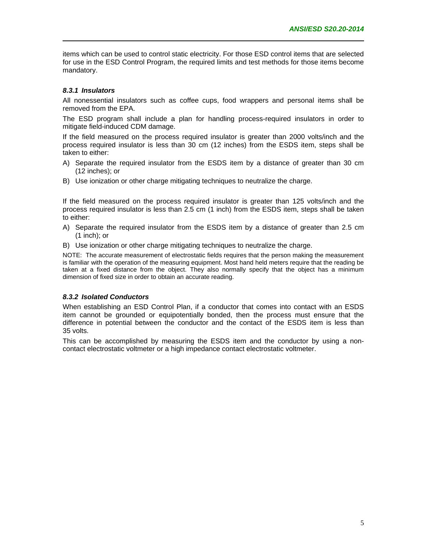items which can be used to control static electricity. For those ESD control items that are selected for use in the ESD Control Program, the required limits and test methods for those items become mandatory.

#### *8.3.1 Insulators*

All nonessential insulators such as coffee cups, food wrappers and personal items shall be removed from the EPA.

The ESD program shall include a plan for handling process-required insulators in order to mitigate field-induced CDM damage.

If the field measured on the process required insulator is greater than 2000 volts/inch and the process required insulator is less than 30 cm (12 inches) from the ESDS item, steps shall be taken to either:

- A) Separate the required insulator from the ESDS item by a distance of greater than 30 cm (12 inches); or
- B) Use ionization or other charge mitigating techniques to neutralize the charge.

If the field measured on the process required insulator is greater than 125 volts/inch and the process required insulator is less than 2.5 cm (1 inch) from the ESDS item, steps shall be taken to either:

- A) Separate the required insulator from the ESDS item by a distance of greater than 2.5 cm (1 inch); or
- B) Use ionization or other charge mitigating techniques to neutralize the charge.

NOTE: The accurate measurement of electrostatic fields requires that the person making the measurement is familiar with the operation of the measuring equipment. Most hand held meters require that the reading be taken at a fixed distance from the object. They also normally specify that the object has a minimum dimension of fixed size in order to obtain an accurate reading.

#### *8.3.2 Isolated Conductors*

When establishing an ESD Control Plan, if a conductor that comes into contact with an ESDS item cannot be grounded or equipotentially bonded, then the process must ensure that the difference in potential between the conductor and the contact of the ESDS item is less than 35 volts.

This can be accomplished by measuring the ESDS item and the conductor by using a noncontact electrostatic voltmeter or a high impedance contact electrostatic voltmeter.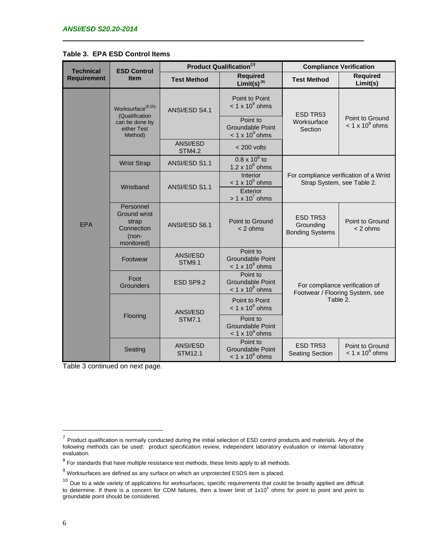|                    |                                                                                | Product Qualification <sup>(7)</sup> |                                                               |                                                                               |                                           |                 |
|--------------------|--------------------------------------------------------------------------------|--------------------------------------|---------------------------------------------------------------|-------------------------------------------------------------------------------|-------------------------------------------|-----------------|
| <b>Technical</b>   | <b>ESD Control</b><br><b>Item</b>                                              |                                      |                                                               | <b>Compliance Verification</b>                                                |                                           |                 |
| <b>Requirement</b> |                                                                                | <b>Test Method</b>                   | <b>Required</b><br>Limit(s) $(8)$                             | <b>Test Method</b>                                                            | <b>Required</b><br>Limit(s)               |                 |
|                    | Worksurface <sup>(9,10)</sup><br>(Qualification                                |                                      | ANSI/ESD S4.1                                                 | Point to Point<br>$< 1 \times 10^9$ ohms<br>Point to                          | ESD TR53                                  | Point to Ground |
|                    | can be done by<br>either Test<br>Method)                                       |                                      | Groundable Point<br>$< 1 \times 10^9$ ohms                    | Worksurface<br>Section                                                        | $< 1 \times 10^9$ ohms                    |                 |
|                    |                                                                                | ANSI/ESD<br><b>STM4.2</b>            | $< 200$ volts                                                 |                                                                               |                                           |                 |
|                    | <b>Wrist Strap</b>                                                             | ANSI/ESD S1.1                        | $0.8 \times 10^6$ to<br>1.2 x $10^6$ ohms                     |                                                                               |                                           |                 |
|                    | Wristband                                                                      | ANSI/ESD S1.1                        | <b>Interior</b><br>$< 1 \times 10^5$ ohms                     | For compliance verification of a Wrist<br>Strap System, see Table 2.          |                                           |                 |
| <b>EPA</b>         |                                                                                |                                      | Exterior<br>$> 1 \times 10^7$ ohms                            |                                                                               |                                           |                 |
|                    | Personnel<br><b>Ground wrist</b><br>strap<br>Connection<br>(non-<br>monitored) | ANSI/ESD S6.1                        | Point to Ground<br>$< 2$ ohms                                 | ESD TR53<br>Grounding<br><b>Bonding Systems</b>                               | Point to Ground<br>$< 2$ ohms             |                 |
|                    | Footwear                                                                       | ANSI/ESD<br><b>STM9.1</b>            | Point to<br>Groundable Point<br>$< 1 \times 10^9$ ohms        |                                                                               |                                           |                 |
|                    | Foot<br>Grounders                                                              | ESD SP9.2                            | Point to<br><b>Groundable Point</b><br>$< 1 \times 10^9$ ohms | For compliance verification of<br>Footwear / Flooring System, see<br>Table 2. |                                           |                 |
|                    | Flooring                                                                       | ANSI/ESD<br><b>STM7.1</b>            | Point to Point<br>$< 1 \times 10^9$ ohms                      |                                                                               |                                           |                 |
|                    |                                                                                |                                      | Point to<br><b>Groundable Point</b><br>$<$ 1 x 10 $^9$ ohms   |                                                                               |                                           |                 |
|                    | Seating                                                                        | ANSI/ESD<br><b>STM12.1</b>           | Point to<br><b>Groundable Point</b><br>$< 1 \times 10^9$ ohms | ESD TR53<br><b>Seating Section</b>                                            | Point to Ground<br>$< 1 \times 10^9$ ohms |                 |

# **Table 3. EPA ESD Control Items**

Table 3 continued on next page.

l

<sup>&</sup>lt;sup>7</sup> Product qualification is normally conducted during the initial selection of ESD control products and materials. Any of the following methods can be used: product specification review, independent laboratory evaluation or internal laboratory evaluation.

 $8$  For standards that have multiple resistance test methods, these limits apply to all methods.

 $9$  Worksurfaces are defined as any surface on which an unprotected ESDS item is placed.

 $10$  Due to a wide variety of applications for worksurfaces, specific requirements that could be broadly applied are difficult to determine. If there is a concern for CDM failures, then a lower limit of  $1x10^6$  ohms for point to point and point to groundable point should be considered.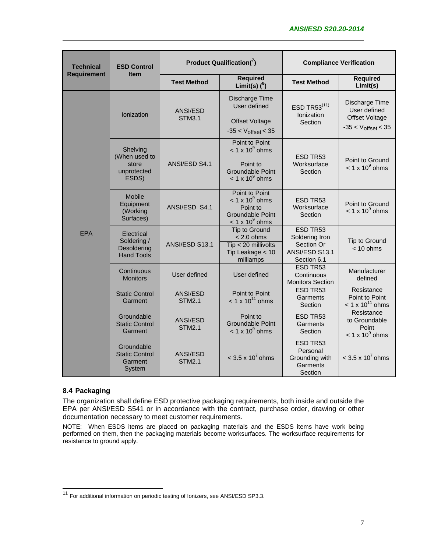| <b>Technical</b>   | <b>ESD Control</b>                                            | <b>Product Qualification(<math>7</math>)</b> |                                                                                                           | <b>Compliance Verification</b>                                            |                                                                                    |
|--------------------|---------------------------------------------------------------|----------------------------------------------|-----------------------------------------------------------------------------------------------------------|---------------------------------------------------------------------------|------------------------------------------------------------------------------------|
| <b>Requirement</b> | <b>Item</b>                                                   | <b>Test Method</b>                           | <b>Required</b><br>Limit(s) $(^{8})$                                                                      | <b>Test Method</b>                                                        | <b>Required</b><br>Limit(s)                                                        |
|                    | Ionization                                                    | ANSI/ESD<br><b>STM3.1</b>                    | Discharge Time<br>User defined<br><b>Offset Voltage</b><br>$-35 < V_{offset} < 35$                        | ESD TR53(11)<br>Ionization<br>Section                                     | Discharge Time<br>User defined<br><b>Offset Voltage</b><br>$-35 < V_{offset} < 35$ |
|                    | Shelving<br>(When used to<br>store<br>unprotected<br>ESDS)    | ANSI/ESD S4.1                                | Point to Point<br>$< 1 \times 10^9$ ohms<br>Point to<br><b>Groundable Point</b><br>$< 1 \times 10^9$ ohms | ESD TR53<br>Worksurface<br>Section                                        | Point to Ground<br>$< 1 \times 10^9$ ohms                                          |
| <b>EPA</b>         | <b>Mobile</b><br>Equipment<br>(Working<br>Surfaces)           | ANSI/ESD S4.1                                | Point to Point<br>$< 1 \times 10^9$ ohms<br>Point to<br><b>Groundable Point</b><br>$< 1 \times 10^9$ ohms | ESD TR53<br>Worksurface<br>Section                                        | Point to Ground<br>$< 1 \times 10^9$ ohms                                          |
|                    | Electrical<br>Soldering /<br>Desoldering<br><b>Hand Tools</b> | ANSI/ESD S13.1                               | Tip to Ground<br>$< 2.0$ ohms<br>Tip < 20 millivolts<br>Tip Leakage < 10<br>milliamps                     | ESD TR53<br>Soldering Iron<br>Section Or<br>ANSI/ESD S13.1<br>Section 6.1 | Tip to Ground<br>$< 10$ ohms                                                       |
|                    | Continuous<br><b>Monitors</b>                                 | User defined                                 | User defined                                                                                              | ESD TR53<br>Continuous<br><b>Monitors Section</b>                         | Manufacturer<br>defined                                                            |
|                    | <b>Static Control</b><br>Garment                              | <b>ANSI/ESD</b><br><b>STM2.1</b>             | Point to Point<br>$< 1 \times 10^{11}$ ohms                                                               | ESD TR53<br>Garments<br>Section                                           | Resistance<br>Point to Point<br>$< 1 \times 10^{11}$ ohms                          |
|                    | Groundable<br><b>Static Control</b><br>Garment                | ANSI/ESD<br><b>STM2.1</b>                    | Point to<br><b>Groundable Point</b><br>$< 1 \times 10^9$ ohms                                             | ESD TR53<br>Garments<br>Section                                           | Resistance<br>to Groundable<br>Point<br>$< 1 \times 10^9$ ohms                     |
|                    | Groundable<br><b>Static Control</b><br>Garment<br>System      | ANSI/ESD<br><b>STM2.1</b>                    | $<$ 3.5 x 10 <sup>7</sup> ohms                                                                            | ESD TR53<br>Personal<br>Grounding with<br>Garments<br>Section             | $<$ 3.5 x 10 <sup>7</sup> ohms                                                     |

# **8.4 Packaging**

l

The organization shall define ESD protective packaging requirements, both inside and outside the EPA per ANSI/ESD S541 or in accordance with the contract, purchase order, drawing or other documentation necessary to meet customer requirements.

NOTE: When ESDS items are placed on packaging materials and the ESDS items have work being performed on them, then the packaging materials become worksurfaces. The worksurface requirements for resistance to ground apply.

<sup>&</sup>lt;sup>11</sup> For additional information on periodic testing of Ionizers, see ANSI/ESD SP3.3.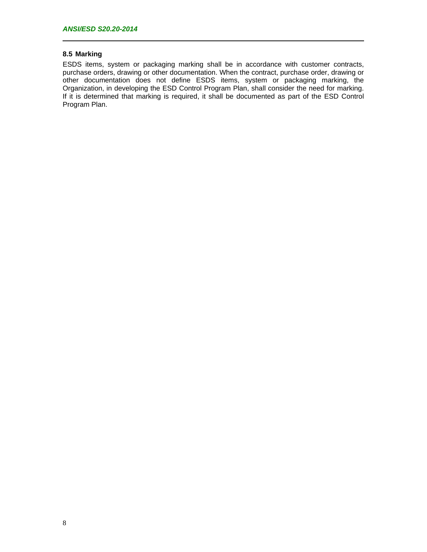# **8.5 Marking**

ESDS items, system or packaging marking shall be in accordance with customer contracts, purchase orders, drawing or other documentation. When the contract, purchase order, drawing or other documentation does not define ESDS items, system or packaging marking, the Organization, in developing the ESD Control Program Plan, shall consider the need for marking. If it is determined that marking is required, it shall be documented as part of the ESD Control Program Plan.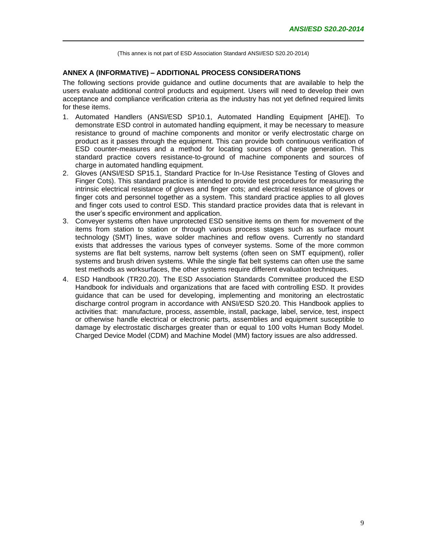#### **ANNEX A (INFORMATIVE) – ADDITIONAL PROCESS CONSIDERATIONS**

The following sections provide guidance and outline documents that are available to help the users evaluate additional control products and equipment. Users will need to develop their own acceptance and compliance verification criteria as the industry has not yet defined required limits for these items.

- 1. Automated Handlers (ANSI/ESD SP10.1, Automated Handling Equipment [AHE]). To demonstrate ESD control in automated handling equipment, it may be necessary to measure resistance to ground of machine components and monitor or verify electrostatic charge on product as it passes through the equipment. This can provide both continuous verification of ESD counter-measures and a method for locating sources of charge generation. This standard practice covers resistance-to-ground of machine components and sources of charge in automated handling equipment.
- 2. Gloves (ANSI/ESD SP15.1, Standard Practice for In-Use Resistance Testing of Gloves and Finger Cots). This standard practice is intended to provide test procedures for measuring the intrinsic electrical resistance of gloves and finger cots; and electrical resistance of gloves or finger cots and personnel together as a system. This standard practice applies to all gloves and finger cots used to control ESD. This standard practice provides data that is relevant in the user's specific environment and application.
- 3. Conveyer systems often have unprotected ESD sensitive items on them for movement of the items from station to station or through various process stages such as surface mount technology (SMT) lines, wave solder machines and reflow ovens. Currently no standard exists that addresses the various types of conveyer systems. Some of the more common systems are flat belt systems, narrow belt systems (often seen on SMT equipment), roller systems and brush driven systems. While the single flat belt systems can often use the same test methods as worksurfaces, the other systems require different evaluation techniques.
- 4. ESD Handbook (TR20.20). The ESD Association Standards Committee produced the ESD Handbook for individuals and organizations that are faced with controlling ESD. It provides guidance that can be used for developing, implementing and monitoring an electrostatic discharge control program in accordance with ANSI/ESD S20.20. This Handbook applies to activities that: manufacture, process, assemble, install, package, label, service, test, inspect or otherwise handle electrical or electronic parts, assemblies and equipment susceptible to damage by electrostatic discharges greater than or equal to 100 volts Human Body Model. Charged Device Model (CDM) and Machine Model (MM) factory issues are also addressed.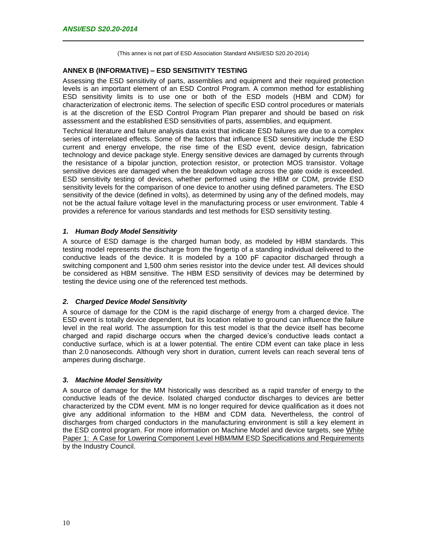#### **ANNEX B (INFORMATIVE) – ESD SENSITIVITY TESTING**

Assessing the ESD sensitivity of parts, assemblies and equipment and their required protection levels is an important element of an ESD Control Program. A common method for establishing ESD sensitivity limits is to use one or both of the ESD models (HBM and CDM) for characterization of electronic items. The selection of specific ESD control procedures or materials is at the discretion of the ESD Control Program Plan preparer and should be based on risk assessment and the established ESD sensitivities of parts, assemblies, and equipment.

Technical literature and failure analysis data exist that indicate ESD failures are due to a complex series of interrelated effects. Some of the factors that influence ESD sensitivity include the ESD current and energy envelope, the rise time of the ESD event, device design, fabrication technology and device package style. Energy sensitive devices are damaged by currents through the resistance of a bipolar junction, protection resistor, or protection MOS transistor. Voltage sensitive devices are damaged when the breakdown voltage across the gate oxide is exceeded. ESD sensitivity testing of devices, whether performed using the HBM or CDM, provide ESD sensitivity levels for the comparison of one device to another using defined parameters. The ESD sensitivity of the device (defined in volts), as determined by using any of the defined models, may not be the actual failure voltage level in the manufacturing process or user environment. Table 4 provides a reference for various standards and test methods for ESD sensitivity testing.

#### *1. Human Body Model Sensitivity*

A source of ESD damage is the charged human body, as modeled by HBM standards. This testing model represents the discharge from the fingertip of a standing individual delivered to the conductive leads of the device. It is modeled by a 100 pF capacitor discharged through a switching component and 1,500 ohm series resistor into the device under test. All devices should be considered as HBM sensitive. The HBM ESD sensitivity of devices may be determined by testing the device using one of the referenced test methods.

# *2. Charged Device Model Sensitivity*

A source of damage for the CDM is the rapid discharge of energy from a charged device. The ESD event is totally device dependent, but its location relative to ground can influence the failure level in the real world. The assumption for this test model is that the device itself has become charged and rapid discharge occurs when the charged device's conductive leads contact a conductive surface, which is at a lower potential. The entire CDM event can take place in less than 2.0 nanoseconds. Although very short in duration, current levels can reach several tens of amperes during discharge.

# *3. Machine Model Sensitivity*

A source of damage for the MM historically was described as a rapid transfer of energy to the conductive leads of the device. Isolated charged conductor discharges to devices are better characterized by the CDM event. MM is no longer required for device qualification as it does not give any additional information to the HBM and CDM data. Nevertheless, the control of discharges from charged conductors in the manufacturing environment is still a key element in the ESD control program. For more information on Machine Model and device targets, see White Paper 1: A Case for Lowering Component Level HBM/MM ESD Specifications and Requirements by the Industry Council.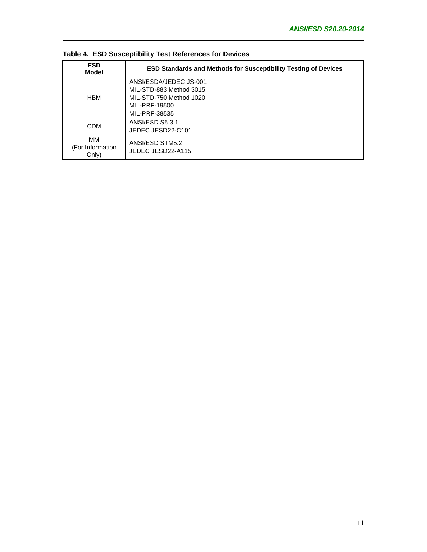| <b>ESD</b><br>Model             | <b>ESD Standards and Methods for Susceptibility Testing of Devices</b>                                         |
|---------------------------------|----------------------------------------------------------------------------------------------------------------|
| <b>HBM</b>                      | ANSI/ESDA/JEDEC JS-001<br>MIL-STD-883 Method 3015<br>MIL-STD-750 Method 1020<br>MIL-PRF-19500<br>MIL-PRF-38535 |
| <b>CDM</b>                      | ANSI/ESD S5.3.1<br>JEDEC JESD22-C101                                                                           |
| ΜМ<br>(For Information<br>Only) | ANSI/ESD STM5.2<br>JEDEC JESD22-A115                                                                           |

**Table 4. ESD Susceptibility Test References for Devices**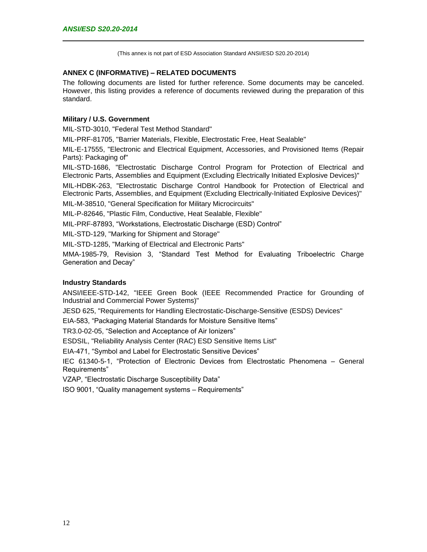# **ANNEX C (INFORMATIVE) – RELATED DOCUMENTS**

The following documents are listed for further reference. Some documents may be canceled. However, this listing provides a reference of documents reviewed during the preparation of this standard.

### **Military / U.S. Government**

MIL-STD-3010, "Federal Test Method Standard"

MIL-PRF-81705, "Barrier Materials, Flexible, Electrostatic Free, Heat Sealable"

MIL-E-17555, "Electronic and Electrical Equipment, Accessories, and Provisioned Items (Repair Parts): Packaging of"

MIL-STD-1686, "Electrostatic Discharge Control Program for Protection of Electrical and Electronic Parts, Assemblies and Equipment (Excluding Electrically Initiated Explosive Devices)"

MIL-HDBK-263, "Electrostatic Discharge Control Handbook for Protection of Electrical and Electronic Parts, Assemblies, and Equipment (Excluding Electrically-Initiated Explosive Devices)"

MIL-M-38510, "General Specification for Military Microcircuits"

MIL-P-82646, "Plastic Film, Conductive, Heat Sealable, Flexible"

MIL-PRF-87893, "Workstations, Electrostatic Discharge (ESD) Control"

MIL-STD-129, "Marking for Shipment and Storage"

MIL-STD-1285, "Marking of Electrical and Electronic Parts"

MMA-1985-79, Revision 3, "Standard Test Method for Evaluating Triboelectric Charge Generation and Decay"

# **Industry Standards**

ANSI/IEEE-STD-142, "IEEE Green Book (IEEE Recommended Practice for Grounding of Industrial and Commercial Power Systems)"

JESD 625, "Requirements for Handling Electrostatic-Discharge-Sensitive (ESDS) Devices"

EIA-583, "Packaging Material Standards for Moisture Sensitive Items"

TR3.0-02-05, "Selection and Acceptance of Air Ionizers"

ESDSIL, "Reliability Analysis Center (RAC) ESD Sensitive Items List"

EIA-471, "Symbol and Label for Electrostatic Sensitive Devices"

IEC 61340-5-1, "Protection of Electronic Devices from Electrostatic Phenomena – General Requirements"

VZAP, "Electrostatic Discharge Susceptibility Data"

ISO 9001, "Quality management systems – Requirements"